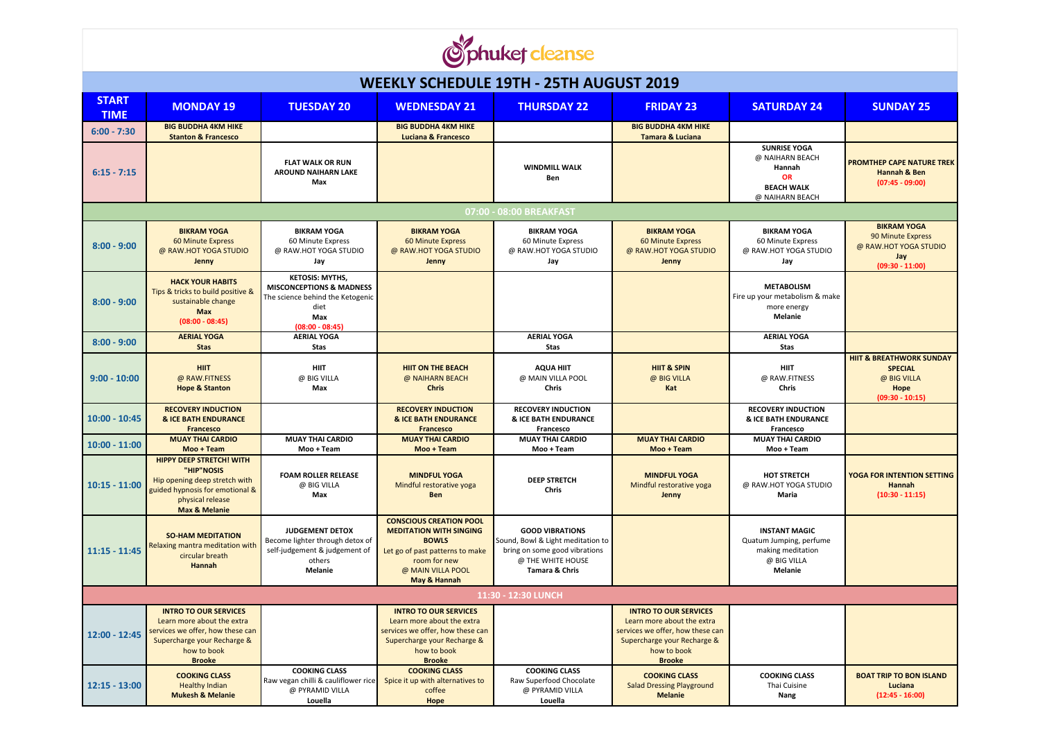

| <b>WEEKLY SCHEDULE 19TH - 25TH AUGUST 2019</b> |                                                                                                                                                                   |                                                                                                                                       |                                                                                                                                                                          |                                                                                                                                     |                                                                                                                                                               |                                                                                                       |                                                                                                   |  |  |  |  |  |
|------------------------------------------------|-------------------------------------------------------------------------------------------------------------------------------------------------------------------|---------------------------------------------------------------------------------------------------------------------------------------|--------------------------------------------------------------------------------------------------------------------------------------------------------------------------|-------------------------------------------------------------------------------------------------------------------------------------|---------------------------------------------------------------------------------------------------------------------------------------------------------------|-------------------------------------------------------------------------------------------------------|---------------------------------------------------------------------------------------------------|--|--|--|--|--|
| <b>START</b><br><b>TIME</b>                    | <b>MONDAY 19</b>                                                                                                                                                  | <b>TUESDAY 20</b>                                                                                                                     | <b>WEDNESDAY 21</b>                                                                                                                                                      | <b>THURSDAY 22</b>                                                                                                                  | <b>FRIDAY 23</b>                                                                                                                                              | <b>SATURDAY 24</b>                                                                                    | <b>SUNDAY 25</b>                                                                                  |  |  |  |  |  |
| $6:00 - 7:30$                                  | <b>BIG BUDDHA 4KM HIKE</b><br><b>Stanton &amp; Francesco</b>                                                                                                      |                                                                                                                                       | <b>BIG BUDDHA 4KM HIKE</b><br><b>Luciana &amp; Francesco</b>                                                                                                             |                                                                                                                                     | <b>BIG BUDDHA 4KM HIKE</b><br><b>Tamara &amp; Luciana</b>                                                                                                     |                                                                                                       |                                                                                                   |  |  |  |  |  |
| $6:15 - 7:15$                                  |                                                                                                                                                                   | <b>FLAT WALK OR RUN</b><br><b>AROUND NAIHARN LAKE</b><br>Max                                                                          |                                                                                                                                                                          | <b>WINDMILL WALK</b><br>Ben                                                                                                         |                                                                                                                                                               | <b>SUNRISE YOGA</b><br>@ NAIHARN BEACH<br>Hannah<br><b>OR</b><br><b>BEACH WALK</b><br>@ NAIHARN BEACH | <b>PROMTHEP CAPE NATURE TREK</b><br>Hannah & Ben<br>$(07:45 - 09:00)$                             |  |  |  |  |  |
| 07:00 - 08:00 BREAKFAST                        |                                                                                                                                                                   |                                                                                                                                       |                                                                                                                                                                          |                                                                                                                                     |                                                                                                                                                               |                                                                                                       |                                                                                                   |  |  |  |  |  |
| $8:00 - 9:00$                                  | <b>BIKRAM YOGA</b><br>60 Minute Express<br>@ RAW.HOT YOGA STUDIO<br>Jenny                                                                                         | <b>BIKRAM YOGA</b><br>60 Minute Express<br>@ RAW.HOT YOGA STUDIO<br>Jay                                                               | <b>BIKRAM YOGA</b><br><b>60 Minute Express</b><br>@ RAW.HOT YOGA STUDIO<br>Jenny                                                                                         | <b>BIKRAM YOGA</b><br>60 Minute Express<br>@ RAW.HOT YOGA STUDIO<br>Jay                                                             | <b>BIKRAM YOGA</b><br>60 Minute Express<br>@ RAW.HOT YOGA STUDIO<br>Jenny                                                                                     | <b>BIKRAM YOGA</b><br>60 Minute Express<br>@ RAW.HOT YOGA STUDIO<br>Jay                               | <b>BIKRAM YOGA</b><br>90 Minute Express<br>@ RAW.HOT YOGA STUDIO<br>Jay<br>$(09:30 - 11:00)$      |  |  |  |  |  |
| $8:00 - 9:00$                                  | <b>HACK YOUR HABITS</b><br>Tips & tricks to build positive &<br>sustainable change<br><b>Max</b><br>$(08:00 - 08:45)$                                             | <b>KETOSIS: MYTHS,</b><br><b>MISCONCEPTIONS &amp; MADNESS</b><br>The science behind the Ketogenic<br>diet<br>Max<br>$(08:00 - 08:45)$ |                                                                                                                                                                          |                                                                                                                                     |                                                                                                                                                               | <b>METABOLISM</b><br>Fire up your metabolism & make<br>more energy<br><b>Melanie</b>                  |                                                                                                   |  |  |  |  |  |
| $8:00 - 9:00$                                  | <b>AERIAL YOGA</b><br><b>Stas</b>                                                                                                                                 | <b>AERIAL YOGA</b><br><b>Stas</b>                                                                                                     |                                                                                                                                                                          | <b>AERIAL YOGA</b><br><b>Stas</b>                                                                                                   |                                                                                                                                                               | <b>AERIAL YOGA</b><br><b>Stas</b>                                                                     |                                                                                                   |  |  |  |  |  |
| $9:00 - 10:00$                                 | <b>HIIT</b><br>@ RAW.FITNESS<br><b>Hope &amp; Stanton</b>                                                                                                         | <b>HIIT</b><br>@ BIG VILLA<br>Max                                                                                                     | <b>HIIT ON THE BEACH</b><br>@ NAIHARN BEACH<br><b>Chris</b>                                                                                                              | AQUA HIIT<br>@ MAIN VILLA POOL<br>Chris                                                                                             | <b>HIIT &amp; SPIN</b><br>@ BIG VILLA<br>Kat                                                                                                                  | <b>HIIT</b><br>@ RAW.FITNESS<br><b>Chris</b>                                                          | <b>HIIT &amp; BREATHWORK SUNDAY</b><br><b>SPECIAL</b><br>@ BIG VILLA<br>Hope<br>$(09:30 - 10:15)$ |  |  |  |  |  |
| $10:00 - 10:45$                                | <b>RECOVERY INDUCTION</b><br><b>&amp; ICE BATH ENDURANCE</b><br><b>Francesco</b>                                                                                  |                                                                                                                                       | <b>RECOVERY INDUCTION</b><br><b>&amp; ICE BATH ENDURANCE</b><br><b>Francesco</b>                                                                                         | <b>RECOVERY INDUCTION</b><br><b>&amp; ICE BATH ENDURANCE</b><br>Francesco                                                           |                                                                                                                                                               | <b>RECOVERY INDUCTION</b><br><b>&amp; ICE BATH ENDURANCE</b><br>Francesco                             |                                                                                                   |  |  |  |  |  |
| $10:00 - 11:00$                                | <b>MUAY THAI CARDIO</b><br>Moo + Team                                                                                                                             | <b>MUAY THAI CARDIO</b><br>Moo + Team                                                                                                 | <b>MUAY THAI CARDIO</b><br>Moo + Team                                                                                                                                    | <b>MUAY THAI CARDIO</b><br>Moo + Team                                                                                               | <b>MUAY THAI CARDIO</b><br>Moo + Team                                                                                                                         | <b>MUAY THAI CARDIO</b><br>Moo + Team                                                                 |                                                                                                   |  |  |  |  |  |
| $10:15 - 11:00$                                | <b>HIPPY DEEP STRETCH! WITH</b><br>"HIP"NOSIS<br>Hip opening deep stretch with<br>guided hypnosis for emotional &<br>physical release<br><b>Max &amp; Melanie</b> | <b>FOAM ROLLER RELEASE</b><br>@ BIG VILLA<br>Max                                                                                      | <b>MINDFUL YOGA</b><br>Mindful restorative yoga<br>Ben                                                                                                                   | <b>DEEP STRETCH</b><br>Chris                                                                                                        | <b>MINDFUL YOGA</b><br>Mindful restorative yoga<br>Jenny                                                                                                      | <b>HOT STRETCH</b><br>@ RAW.HOT YOGA STUDIO<br>Maria                                                  | <b>YOGA FOR INTENTION SETTING</b><br><b>Hannah</b><br>$(10:30 - 11:15)$                           |  |  |  |  |  |
| $11:15 - 11:45$                                | <b>SO-HAM MEDITATION</b><br>Relaxing mantra meditation with<br>circular breath<br>Hannah                                                                          | <b>JUDGEMENT DETOX</b><br>Become lighter through detox of<br>self-judgement & judgement of<br>others<br>Melanie                       | <b>CONSCIOUS CREATION POOL</b><br><b>MEDITATION WITH SINGING</b><br><b>BOWLS</b><br>Let go of past patterns to make<br>room for new<br>@ MAIN VILLA POOL<br>May & Hannah | <b>GOOD VIBRATIONS</b><br>Sound, Bowl & Light meditation to<br>bring on some good vibrations<br>@ THE WHITE HOUSE<br>Tamara & Chris |                                                                                                                                                               | <b>INSTANT MAGIC</b><br>Quatum Jumping, perfume<br>making meditation<br>@ BIG VILLA<br>Melanie        |                                                                                                   |  |  |  |  |  |
|                                                |                                                                                                                                                                   |                                                                                                                                       |                                                                                                                                                                          | 11:30 - 12:30 LUNCH                                                                                                                 |                                                                                                                                                               |                                                                                                       |                                                                                                   |  |  |  |  |  |
| 12:00 - 12:45                                  | <b>INTRO TO OUR SERVICES</b><br>Learn more about the extra<br>services we offer, how these can<br>Supercharge your Recharge &<br>how to book<br><b>Brooke</b>     |                                                                                                                                       | <b>INTRO TO OUR SERVICES</b><br>Learn more about the extra<br>services we offer, how these can<br>Supercharge your Recharge &<br>how to book<br><b>Brooke</b>            |                                                                                                                                     | <b>INTRO TO OUR SERVICES</b><br>Learn more about the extra<br>services we offer, how these can<br>Supercharge your Recharge &<br>how to book<br><b>Brooke</b> |                                                                                                       |                                                                                                   |  |  |  |  |  |
| $12:15 - 13:00$                                | <b>COOKING CLASS</b><br><b>Healthy Indian</b><br><b>Mukesh &amp; Melanie</b>                                                                                      | <b>COOKING CLASS</b><br>Raw vegan chilli & cauliflower rice<br>@ PYRAMID VILLA<br>Louella                                             | <b>COOKING CLASS</b><br>Spice it up with alternatives to<br>coffee<br>Hope                                                                                               | <b>COOKING CLASS</b><br>Raw Superfood Chocolate<br>@ PYRAMID VILLA<br>Louella                                                       | <b>COOKING CLASS</b><br><b>Salad Dressing Playground</b><br><b>Melanie</b>                                                                                    | <b>COOKING CLASS</b><br>Thai Cuisine<br>Nang                                                          | <b>BOAT TRIP TO BON ISLAND</b><br>Luciana<br>$(12:45 - 16:00)$                                    |  |  |  |  |  |